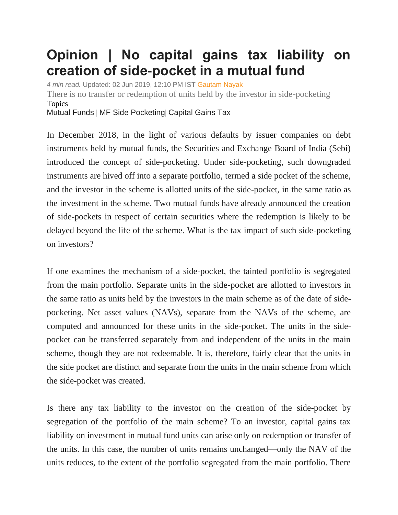## **Opinion | No capital gains tax liability on creation of side-pocket in a mutual fund**

*4 min read.* Updated: 02 Jun 2019, 12:10 PM IST [Gautam Nayak](https://www.livemint.com/Search/Link/Author/Gautam%20Nayak) There is no transfer or redemption of units held by the investor in side-pocketing Topics [Mutual](https://www.livemint.com/topic/mutual-funds) Funds | [MF Side Pocketing](https://www.livemint.com/topic/mf-side-pocketing)| [Capital Gains Tax](https://www.livemint.com/topic/capital-gains-tax)

In December 2018, in the light of various defaults by issuer companies on debt instruments held by mutual funds, the Securities and Exchange Board of India (Sebi) introduced the concept of side-pocketing. Under side-pocketing, such downgraded instruments are hived off into a separate portfolio, termed a side pocket of the scheme, and the investor in the scheme is allotted units of the side-pocket, in the same ratio as the investment in the scheme. Two mutual funds have already announced the creation of side-pockets in respect of certain securities where the redemption is likely to be delayed beyond the life of the scheme. What is the tax impact of such side-pocketing on investors?

If one examines the mechanism of a side-pocket, the tainted portfolio is segregated from the main portfolio. Separate units in the side-pocket are allotted to investors in the same ratio as units held by the investors in the main scheme as of the date of sidepocketing. Net asset values (NAVs), separate from the NAVs of the scheme, are computed and announced for these units in the side-pocket. The units in the sidepocket can be transferred separately from and independent of the units in the main scheme, though they are not redeemable. It is, therefore, fairly clear that the units in the side pocket are distinct and separate from the units in the main scheme from which the side-pocket was created.

Is there any tax liability to the investor on the creation of the side-pocket by segregation of the portfolio of the main scheme? To an investor, capital gains tax liability on investment in mutual fund units can arise only on redemption or transfer of the units. In this case, the number of units remains unchanged—only the NAV of the units reduces, to the extent of the portfolio segregated from the main portfolio. There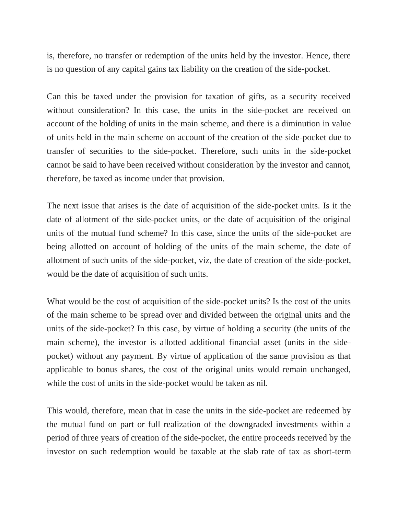is, therefore, no transfer or redemption of the units held by the investor. Hence, there is no question of any capital gains tax liability on the creation of the side-pocket.

Can this be taxed under the provision for taxation of gifts, as a security received without consideration? In this case, the units in the side-pocket are received on account of the holding of units in the main scheme, and there is a diminution in value of units held in the main scheme on account of the creation of the side-pocket due to transfer of securities to the side-pocket. Therefore, such units in the side-pocket cannot be said to have been received without consideration by the investor and cannot, therefore, be taxed as income under that provision.

The next issue that arises is the date of acquisition of the side-pocket units. Is it the date of allotment of the side-pocket units, or the date of acquisition of the original units of the mutual fund scheme? In this case, since the units of the side-pocket are being allotted on account of holding of the units of the main scheme, the date of allotment of such units of the side-pocket, viz, the date of creation of the side-pocket, would be the date of acquisition of such units.

What would be the cost of acquisition of the side-pocket units? Is the cost of the units of the main scheme to be spread over and divided between the original units and the units of the side-pocket? In this case, by virtue of holding a security (the units of the main scheme), the investor is allotted additional financial asset (units in the sidepocket) without any payment. By virtue of application of the same provision as that applicable to bonus shares, the cost of the original units would remain unchanged, while the cost of units in the side-pocket would be taken as nil.

This would, therefore, mean that in case the units in the side-pocket are redeemed by the mutual fund on part or full realization of the downgraded investments within a period of three years of creation of the side-pocket, the entire proceeds received by the investor on such redemption would be taxable at the slab rate of tax as short-term